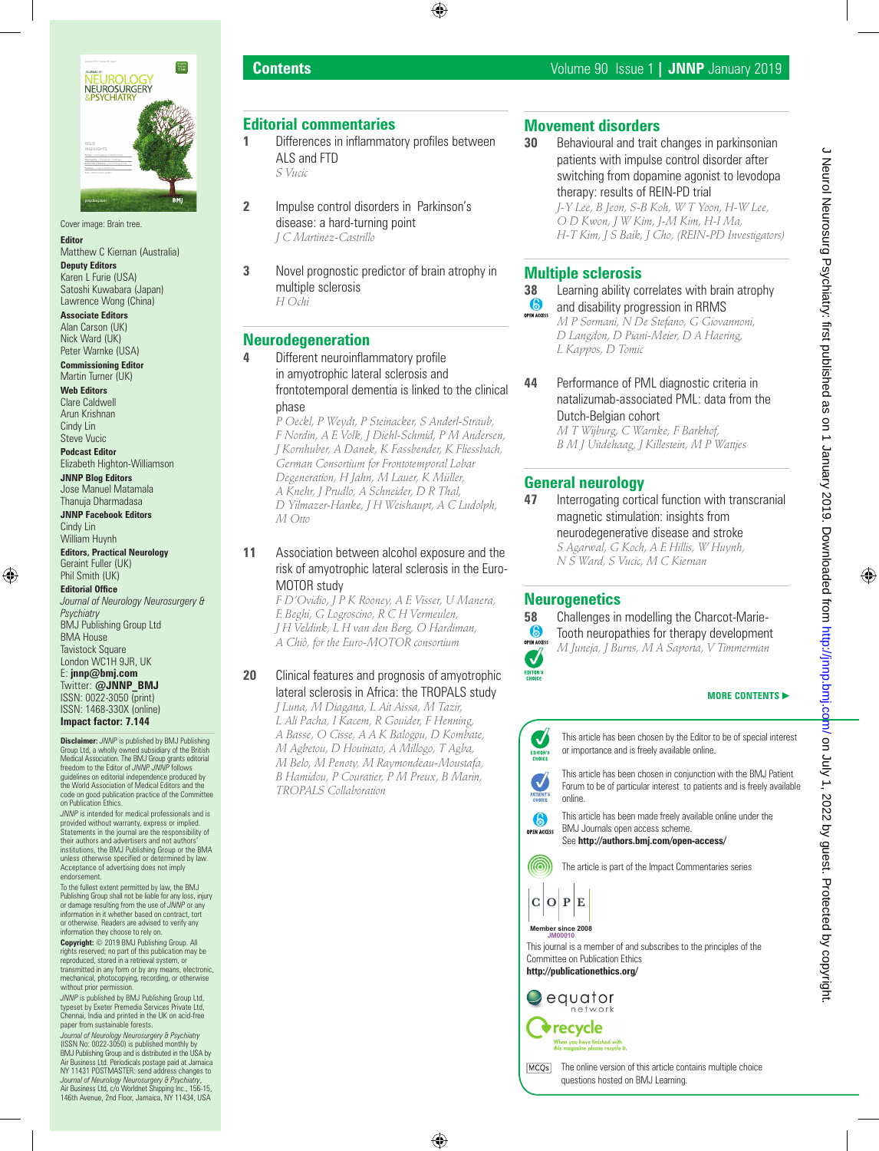

Cover image: Brain tree. **Editor**

Matthew C Kiernan (Australia)

**Deputy Editors** Karen L Furie (USA) Satoshi Kuwabara (Japan) Lawrence Wong (China)

**Associate Editors** Alan Carson (UK) Nick Ward (UK) Peter Warnke (USA)

**Commissioning Editor** Martin Turner (UK)

**Web Editors** Clare Caldwell Arun Krishnan Cindy Lin

Steve Vucic **Podcast Editor**

Elizabeth Highton-Williamson **JNNP Blog Editors**

Jose Manuel Matamala Thanuja Dharmadasa

**JNNP Facebook Editors** Cindy Lin William Huynh

**Editors, Practical Neurology** Geraint Fuller (UK) Phil Smith (UK)

**Editorial Office** *Journal of Neurology Neurosurgery & Psychiatry* BMJ Publishing Group Ltd BMA House Tavistock Square London WC1H 9JR, UK E: **jnnp@bmj.com** Twitter: **@JNNP\_BMJ** ISSN: 0022-3050 (print) ISSN: 1468-330X (online) **Impact factor: 7.144**

**Disclaimer:** *JNNP* is published by BMJ Publishing<br>Group Ltd, a wholly owned subsidiary of the British<br>Medical Association. The BMJ Group grants editorial<br>freedom to the Editor of *JNNP. JNNP* follows guidelines on editorial independence produced by the World Association of Medical Editors and the code on good publication practice of the Committee on Publication Ethics.

*JNNP* is intended for medical professionals and is provided without warranty, express or implied. Statements in the journal are the responsibility of their authors and advertisers and not authors' institutions, the BMJ Publishing Group or the BMA unless otherwise specified or determined by law. Acceptance of advertising does not imply endorsement

To the fullest extent permitted by law, the BMJ Publishing Group shall not be liable for any loss, injury or damage resulting from the use of *JNNP* or any information in it whether based on contract, tort or otherwise. Readers are advised to verify any information they choose to rely on. **Copyright:** © 2019 BMJ Publishing Group. All

rights reserved; no part of this publication may be reproduced, stored in a retrieval system, or transmitted in any form or by any means, electronic, mechanical, photocopying, recording, or otherwise without prior permission

*JNNP* is published by BMJ Publishing Group Ltd, typeset by Exeter Premedia Services Private Ltd, Chennai, India and printed in the UK on acid-free paper from sustainable forests.

*Journal of Neurology Neurosurgery & Psychiatry*  (ISSN No: 0022-3050) is published monthly by BMJ Publishing Group and is distributed in the USA by Air Business Ltd. Periodicals postage paid at Jamaica<br>NY 11431 POSTMASTER: send address changes to<br>Journal of Neurology Neurosurgery & Psychiatry,<br>Air Business Ltd, c/o Worldnet Shipping Inc., 156-15,<br>146th Avenue, 2nd Flo

# **Editorial commentaries**

- **1** Differences in inflammatory profiles between ALS and FTD *S Vucic*
	-
- **2** Impulse control disorders in Parkinson's disease: a hard-turning point *J C Martinez-Castrillo*
- **3** Novel prognostic predictor of brain atrophy in multiple sclerosis *H Ochi*

# **Neurodegeneration**

**4** Different neuroinflammatory profile in amyotrophic lateral sclerosis and frontotemporal dementia is linked to the clinical phase

*P Oeckl, P Weydt, P Steinacker, S Anderl-Straub, F Nordin, A E Volk, J Diehl-Schmid, P M Andersen, J Kornhuber, A Danek, K Fassbender, K Fliessbach, German Consortium for Frontotemporal Lobar Degeneration, H Jahn, M Lauer, K Müller, A Knehr, J Prudlo, A Schneider, D R Thal, D Yilmazer-Hanke, J H Weishaupt, A C Ludolph, M Otto*

**11** Association between alcohol exposure and the risk of amyotrophic lateral sclerosis in the Euro-MOTOR study

*F D'Ovidio, J P K Rooney, A E Visser, U Manera, E Beghi, G Logroscino, R C H Vermeulen, J H Veldink, L H van den Berg, O Hardiman, A Chiò, for the Euro-MOTOR consortium*

## **20** Clinical features and prognosis of amyotrophic lateral sclerosis in Africa: the TROPALS study

*J Luna, M Diagana, L Ait Aissa, M Tazir, L Ali Pacha, I Kacem, R Gouider, F Henning, A Basse, O Cisse, A A K Balogou, D Kombate, M Agbetou, D Houinato, A Millogo, T Agba, M Belo, M Penoty, M Raymondeau-Moustafa, B Hamidou, P Couratier, P M Preux, B Marin, TROPALS Collaboration*

# **Movement disorders**

**30** Behavioural and trait changes in parkinsonian patients with impulse control disorder after switching from dopamine agonist to levodopa therapy: results of REIN-PD trial

*J-Y Lee, B Jeon, S-B Koh, W T Yoon, H-W Lee, O D Kwon, J W Kim, J-M Kim, H-I Ma, H-T Kim, J S Baik, J Cho, (REIN-PD Investigators)*

# **Multiple sclerosis**

### **38** Learning ability correlates with brain atrophy<br>
and disability progression in RRMS and disability progression in RRMS *M P Sormani, N De Stefano, G Giovannoni, D Langdon, D Piani-Meier, D A Haering,*

*L Kappos, D Tomic* **44** Performance of PML diagnostic criteria in natalizumab-associated PML: data from the Dutch-Belgian cohort

*M T Wijburg, C Warnke, F Barkhof, B M J Uitdehaag, J Killestein, M P Wattjes*

# **General neurology**

**47** Interrogating cortical function with transcranial magnetic stimulation: insights from neurodegenerative disease and stroke *S Agarwal, G Koch, A E Hillis, W Huynh, N S Ward, S Vucic, M C Kiernan*

# **Neurogenetics**



**58** Challenges in modelling the Charcot-Marie-<br> **6** Tooth neuropathies for therapy development Tooth neuropathies for therapy development *M Juneja, J Burns, M A Saporta, V Timmerman*

## **MORE CONTENTS**



J Neurol Neurosurg Psychiatry: first published as on 1 January 2019. Downloaded from http://jnnp.bmj.cdm/ on July 1, 2022 by guest. Protected by copyright J Neurol Neurosurg Psychiatry: first published as on 1 January 2019. Downloaded from <http://jnnp.bmj.com/> on July 1, 2022 by guest. Protected by copyright.

The online version of this article contains multiple choice questions hosted on BMJ Learning.